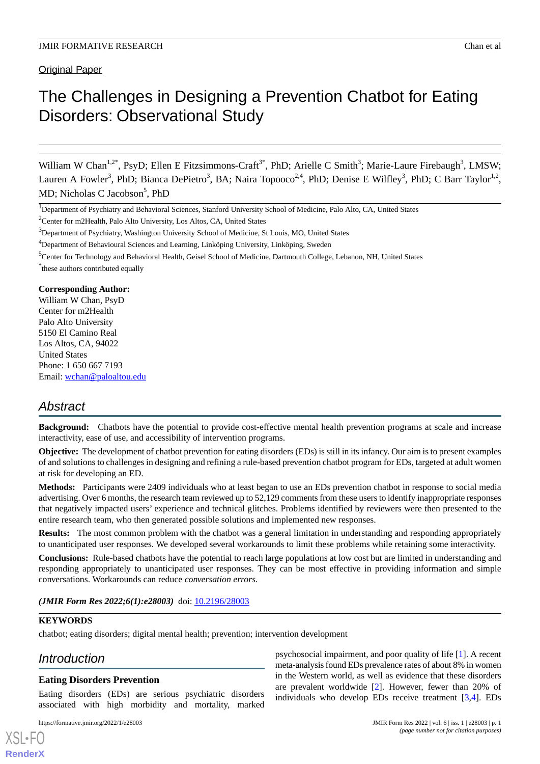# The Challenges in Designing a Prevention Chatbot for Eating Disorders: Observational Study

William W Chan<sup>1,2\*</sup>, PsyD; Ellen E Fitzsimmons-Craft<sup>3\*</sup>, PhD; Arielle C Smith<sup>3</sup>; Marie-Laure Firebaugh<sup>3</sup>, LMSW; Lauren A Fowler<sup>3</sup>, PhD; Bianca DePietro<sup>3</sup>, BA; Naira Topooco<sup>2,4</sup>, PhD; Denise E Wilfley<sup>3</sup>, PhD; C Barr Taylor<sup>1,2</sup>, MD; Nicholas C Jacobson<sup>5</sup>, PhD

<sup>2</sup>Center for m2Health, Palo Alto University, Los Altos, CA, United States

\* these authors contributed equally

#### **Corresponding Author:**

William W Chan, PsyD Center for m2Health Palo Alto University 5150 El Camino Real Los Altos, CA, 94022 United States Phone: 1 650 667 7193 Email: [wchan@paloaltou.edu](mailto:wchan@paloaltou.edu)

# *Abstract*

**Background:** Chatbots have the potential to provide cost-effective mental health prevention programs at scale and increase interactivity, ease of use, and accessibility of intervention programs.

**Objective:** The development of chatbot prevention for eating disorders (EDs) is still in its infancy. Our aim is to present examples of and solutions to challenges in designing and refining a rule-based prevention chatbot program for EDs, targeted at adult women at risk for developing an ED.

**Methods:** Participants were 2409 individuals who at least began to use an EDs prevention chatbot in response to social media advertising. Over 6 months, the research team reviewed up to 52,129 comments from these users to identify inappropriate responses that negatively impacted users' experience and technical glitches. Problems identified by reviewers were then presented to the entire research team, who then generated possible solutions and implemented new responses.

**Results:** The most common problem with the chatbot was a general limitation in understanding and responding appropriately to unanticipated user responses. We developed several workarounds to limit these problems while retaining some interactivity.

**Conclusions:** Rule-based chatbots have the potential to reach large populations at low cost but are limited in understanding and responding appropriately to unanticipated user responses. They can be most effective in providing information and simple conversations. Workarounds can reduce *conversation errors*.

#### *(JMIR Form Res 2022;6(1):e28003)* doi: [10.2196/28003](http://dx.doi.org/10.2196/28003)

# **KEYWORDS**

chatbot; eating disorders; digital mental health; prevention; intervention development

# *Introduction*

[XSL](http://www.w3.org/Style/XSL)•FO **[RenderX](http://www.renderx.com/)**

### **Eating Disorders Prevention**

Eating disorders (EDs) are serious psychiatric disorders associated with high morbidity and mortality, marked

psychosocial impairment, and poor quality of life [[1\]](#page-10-0). A recent meta-analysis found EDs prevalence rates of about 8% in women in the Western world, as well as evidence that these disorders are prevalent worldwide [\[2](#page-10-1)]. However, fewer than 20% of individuals who develop EDs receive treatment [\[3](#page-10-2),[4\]](#page-10-3). EDs

<sup>&</sup>lt;sup>1</sup>Department of Psychiatry and Behavioral Sciences, Stanford University School of Medicine, Palo Alto, CA, United States

<sup>&</sup>lt;sup>3</sup>Department of Psychiatry, Washington University School of Medicine, St Louis, MO, United States

<sup>&</sup>lt;sup>4</sup>Department of Behavioural Sciences and Learning, Linköping University, Linköping, Sweden

<sup>5</sup>Center for Technology and Behavioral Health, Geisel School of Medicine, Dartmouth College, Lebanon, NH, United States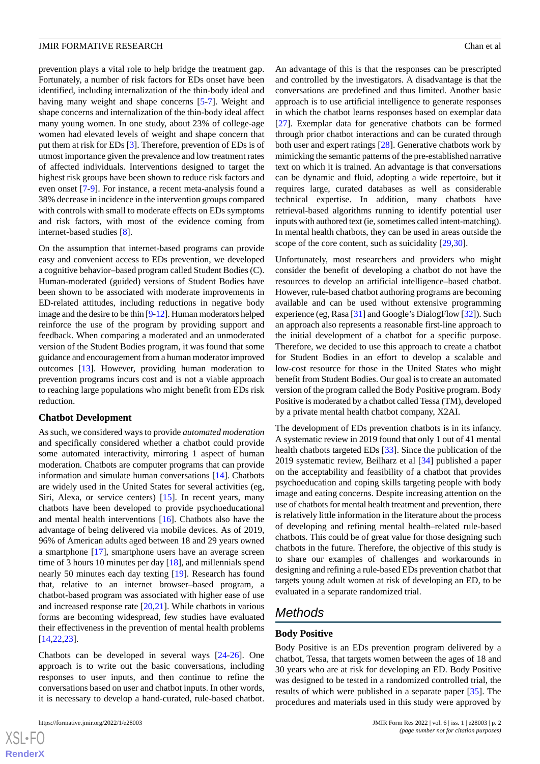prevention plays a vital role to help bridge the treatment gap. Fortunately, a number of risk factors for EDs onset have been identified, including internalization of the thin-body ideal and having many weight and shape concerns [[5-](#page-10-4)[7](#page-10-5)]. Weight and shape concerns and internalization of the thin-body ideal affect many young women. In one study, about 23% of college-age women had elevated levels of weight and shape concern that put them at risk for EDs [[3\]](#page-10-2). Therefore, prevention of EDs is of utmost importance given the prevalence and low treatment rates of affected individuals. Interventions designed to target the highest risk groups have been shown to reduce risk factors and even onset [\[7](#page-10-5)-[9\]](#page-10-6). For instance, a recent meta-analysis found a 38% decrease in incidence in the intervention groups compared with controls with small to moderate effects on EDs symptoms and risk factors, with most of the evidence coming from internet-based studies [\[8](#page-10-7)].

On the assumption that internet-based programs can provide easy and convenient access to EDs prevention, we developed a cognitive behavior–based program called Student Bodies (C). Human-moderated (guided) versions of Student Bodies have been shown to be associated with moderate improvements in ED-related attitudes, including reductions in negative body image and the desire to be thin [[9-](#page-10-6)[12\]](#page-11-0). Human moderators helped reinforce the use of the program by providing support and feedback. When comparing a moderated and an unmoderated version of the Student Bodies program, it was found that some guidance and encouragement from a human moderator improved outcomes [[13\]](#page-11-1). However, providing human moderation to prevention programs incurs cost and is not a viable approach to reaching large populations who might benefit from EDs risk reduction.

#### **Chatbot Development**

As such, we considered ways to provide *automated moderation* and specifically considered whether a chatbot could provide some automated interactivity, mirroring 1 aspect of human moderation. Chatbots are computer programs that can provide information and simulate human conversations [\[14](#page-11-2)]. Chatbots are widely used in the United States for several activities (eg, Siri, Alexa, or service centers) [[15\]](#page-11-3). In recent years, many chatbots have been developed to provide psychoeducational and mental health interventions [[16\]](#page-11-4). Chatbots also have the advantage of being delivered via mobile devices. As of 2019, 96% of American adults aged between 18 and 29 years owned a smartphone [[17\]](#page-11-5), smartphone users have an average screen time of 3 hours 10 minutes per day [[18\]](#page-11-6), and millennials spend nearly 50 minutes each day texting [[19\]](#page-11-7). Research has found that, relative to an internet browser–based program, a chatbot-based program was associated with higher ease of use and increased response rate  $[20,21]$  $[20,21]$  $[20,21]$ . While chatbots in various forms are becoming widespread, few studies have evaluated their effectiveness in the prevention of mental health problems [[14](#page-11-2)[,22](#page-11-10),[23\]](#page-11-11).

Chatbots can be developed in several ways [\[24](#page-11-12)-[26\]](#page-11-13). One approach is to write out the basic conversations, including responses to user inputs, and then continue to refine the conversations based on user and chatbot inputs. In other words, it is necessary to develop a hand-curated, rule-based chatbot.

An advantage of this is that the responses can be prescripted and controlled by the investigators. A disadvantage is that the conversations are predefined and thus limited. Another basic approach is to use artificial intelligence to generate responses in which the chatbot learns responses based on exemplar data [[27\]](#page-11-14). Exemplar data for generative chatbots can be formed through prior chatbot interactions and can be curated through both user and expert ratings [\[28](#page-11-15)]. Generative chatbots work by mimicking the semantic patterns of the pre-established narrative text on which it is trained. An advantage is that conversations can be dynamic and fluid, adopting a wide repertoire, but it requires large, curated databases as well as considerable technical expertise. In addition, many chatbots have retrieval-based algorithms running to identify potential user inputs with authored text (ie, sometimes called intent-matching). In mental health chatbots, they can be used in areas outside the scope of the core content, such as suicidality [[29](#page-11-16)[,30](#page-11-17)].

Unfortunately, most researchers and providers who might consider the benefit of developing a chatbot do not have the resources to develop an artificial intelligence–based chatbot. However, rule-based chatbot authoring programs are becoming available and can be used without extensive programming experience (eg, Rasa [\[31\]](#page-11-18) and Google's DialogFlow [[32\]](#page-11-19)). Such an approach also represents a reasonable first-line approach to the initial development of a chatbot for a specific purpose. Therefore, we decided to use this approach to create a chatbot for Student Bodies in an effort to develop a scalable and low-cost resource for those in the United States who might benefit from Student Bodies. Our goal is to create an automated version of the program called the Body Positive program. Body Positive is moderated by a chatbot called Tessa (TM), developed by a private mental health chatbot company, X2AI.

The development of EDs prevention chatbots is in its infancy. A systematic review in 2019 found that only 1 out of 41 mental health chatbots targeted EDs [\[33](#page-11-20)]. Since the publication of the 2019 systematic review, Beilharz et al [[34\]](#page-11-21) published a paper on the acceptability and feasibility of a chatbot that provides psychoeducation and coping skills targeting people with body image and eating concerns. Despite increasing attention on the use of chatbots for mental health treatment and prevention, there is relatively little information in the literature about the process of developing and refining mental health–related rule-based chatbots. This could be of great value for those designing such chatbots in the future. Therefore, the objective of this study is to share our examples of challenges and workarounds in designing and refining a rule-based EDs prevention chatbot that targets young adult women at risk of developing an ED, to be evaluated in a separate randomized trial.

### *Methods*

#### **Body Positive**

Body Positive is an EDs prevention program delivered by a chatbot, Tessa, that targets women between the ages of 18 and 30 years who are at risk for developing an ED. Body Positive was designed to be tested in a randomized controlled trial, the results of which were published in a separate paper [\[35](#page-11-22)]. The procedures and materials used in this study were approved by

 $XS$ -FO **[RenderX](http://www.renderx.com/)**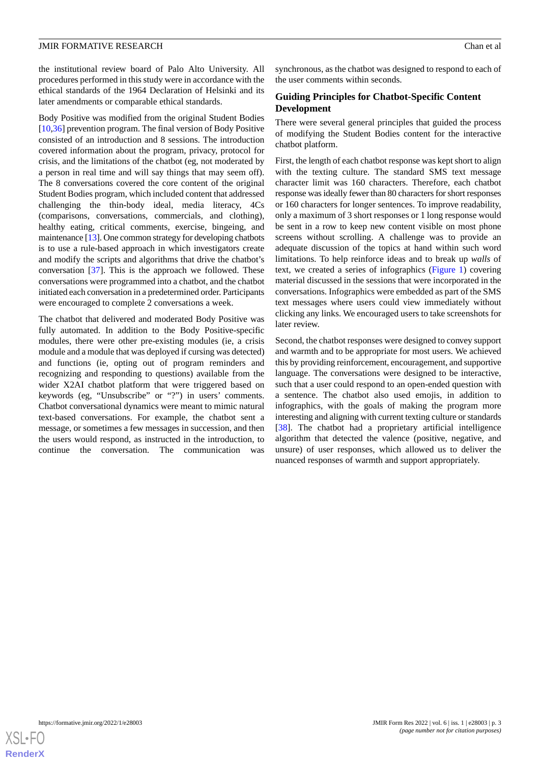the institutional review board of Palo Alto University. All procedures performed in this study were in accordance with the ethical standards of the 1964 Declaration of Helsinki and its later amendments or comparable ethical standards.

Body Positive was modified from the original Student Bodies [[10](#page-11-23)[,36](#page-12-0)] prevention program. The final version of Body Positive consisted of an introduction and 8 sessions. The introduction covered information about the program, privacy, protocol for crisis, and the limitations of the chatbot (eg, not moderated by a person in real time and will say things that may seem off). The 8 conversations covered the core content of the original Student Bodies program, which included content that addressed challenging the thin-body ideal, media literacy, 4Cs (comparisons, conversations, commercials, and clothing), healthy eating, critical comments, exercise, bingeing, and maintenance [\[13\]](#page-11-1). One common strategy for developing chatbots is to use a rule-based approach in which investigators create and modify the scripts and algorithms that drive the chatbot's conversation [\[37](#page-12-1)]. This is the approach we followed. These conversations were programmed into a chatbot, and the chatbot initiated each conversation in a predetermined order. Participants were encouraged to complete 2 conversations a week.

The chatbot that delivered and moderated Body Positive was fully automated. In addition to the Body Positive-specific modules, there were other pre-existing modules (ie, a crisis module and a module that was deployed if cursing was detected) and functions (ie, opting out of program reminders and recognizing and responding to questions) available from the wider X2AI chatbot platform that were triggered based on keywords (eg, "Unsubscribe" or "?") in users' comments. Chatbot conversational dynamics were meant to mimic natural text-based conversations. For example, the chatbot sent a message, or sometimes a few messages in succession, and then the users would respond, as instructed in the introduction, to continue the conversation. The communication was synchronous, as the chatbot was designed to respond to each of the user comments within seconds.

#### **Guiding Principles for Chatbot-Specific Content Development**

There were several general principles that guided the process of modifying the Student Bodies content for the interactive chatbot platform.

First, the length of each chatbot response was kept short to align with the texting culture. The standard SMS text message character limit was 160 characters. Therefore, each chatbot response was ideally fewer than 80 characters for short responses or 160 characters for longer sentences. To improve readability, only a maximum of 3 short responses or 1 long response would be sent in a row to keep new content visible on most phone screens without scrolling. A challenge was to provide an adequate discussion of the topics at hand within such word limitations. To help reinforce ideas and to break up *walls* of text, we created a series of infographics [\(Figure 1](#page-3-0)) covering material discussed in the sessions that were incorporated in the conversations. Infographics were embedded as part of the SMS text messages where users could view immediately without clicking any links. We encouraged users to take screenshots for later review.

Second, the chatbot responses were designed to convey support and warmth and to be appropriate for most users. We achieved this by providing reinforcement, encouragement, and supportive language. The conversations were designed to be interactive, such that a user could respond to an open-ended question with a sentence. The chatbot also used emojis, in addition to infographics, with the goals of making the program more interesting and aligning with current texting culture or standards [[38\]](#page-12-2). The chatbot had a proprietary artificial intelligence algorithm that detected the valence (positive, negative, and unsure) of user responses, which allowed us to deliver the nuanced responses of warmth and support appropriately.

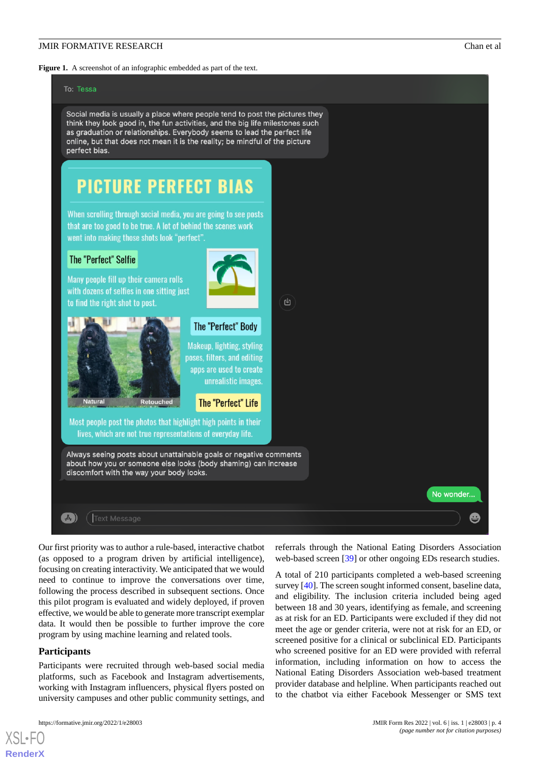<span id="page-3-0"></span>Figure 1. A screenshot of an infographic embedded as part of the text.

#### To: Tessa

Social media is usually a place where people tend to post the pictures they think they look good in, the fun activities, and the big life milestones such as graduation or relationships. Everybody seems to lead the perfect life online, but that does not mean it is the reality; be mindful of the picture perfect bias.

# **PICTURE PERFECT BIAS**

When scrolling through social media, you are going to see posts that are too good to be true. A lot of behind the scenes work went into making those shots look "perfect".

# The "Perfect" Selfie



Many people fill up their camera rolls with dozens of selfies in one sitting just to find the right shot to post.



凼

Makeup, lighting, styling poses, filters, and editing apps are used to create unrealistic images.

The "Perfect" Life

Most people post the photos that highlight high points in their lives, which are not true representations of everyday life.

Retouched

Always seeing posts about unattainable goals or negative comments about how you or someone else looks (body shaming) can increase discomfort with the way your body looks.

 $(A)$ 

**Natural** 

Our first priority was to author a rule-based, interactive chatbot (as opposed to a program driven by artificial intelligence), focusing on creating interactivity. We anticipated that we would need to continue to improve the conversations over time, following the process described in subsequent sections. Once this pilot program is evaluated and widely deployed, if proven effective, we would be able to generate more transcript exemplar data. It would then be possible to further improve the core program by using machine learning and related tools.

### **Participants**

[XSL](http://www.w3.org/Style/XSL)•FO **[RenderX](http://www.renderx.com/)**

Participants were recruited through web-based social media platforms, such as Facebook and Instagram advertisements, working with Instagram influencers, physical flyers posted on university campuses and other public community settings, and

referrals through the National Eating Disorders Association web-based screen [\[39](#page-12-3)] or other ongoing EDs research studies.

A total of 210 participants completed a web-based screening survey [\[40](#page-12-4)]. The screen sought informed consent, baseline data, and eligibility. The inclusion criteria included being aged between 18 and 30 years, identifying as female, and screening as at risk for an ED. Participants were excluded if they did not meet the age or gender criteria, were not at risk for an ED, or screened positive for a clinical or subclinical ED. Participants who screened positive for an ED were provided with referral information, including information on how to access the National Eating Disorders Association web-based treatment provider database and helpline. When participants reached out to the chatbot via either Facebook Messenger or SMS text

No wonder...

Ѳ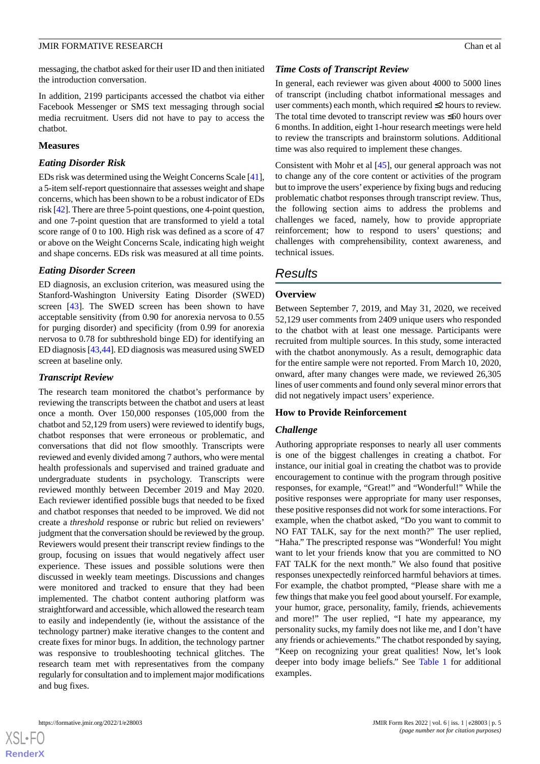messaging, the chatbot asked for their user ID and then initiated the introduction conversation.

In addition, 2199 participants accessed the chatbot via either Facebook Messenger or SMS text messaging through social media recruitment. Users did not have to pay to access the chatbot.

#### **Measures**

#### *Eating Disorder Risk*

EDs risk was determined using the Weight Concerns Scale [\[41\]](#page-12-5), a 5-item self-report questionnaire that assesses weight and shape concerns, which has been shown to be a robust indicator of EDs risk [\[42\]](#page-12-6). There are three 5-point questions, one 4-point question, and one 7-point question that are transformed to yield a total score range of 0 to 100. High risk was defined as a score of 47 or above on the Weight Concerns Scale, indicating high weight and shape concerns. EDs risk was measured at all time points.

#### *Eating Disorder Screen*

ED diagnosis, an exclusion criterion, was measured using the Stanford-Washington University Eating Disorder (SWED) screen [\[43](#page-12-7)]. The SWED screen has been shown to have acceptable sensitivity (from 0.90 for anorexia nervosa to 0.55 for purging disorder) and specificity (from 0.99 for anorexia nervosa to 0.78 for subthreshold binge ED) for identifying an ED diagnosis [[43,](#page-12-7)[44\]](#page-12-8). ED diagnosis was measured using SWED screen at baseline only.

#### *Transcript Review*

The research team monitored the chatbot's performance by reviewing the transcripts between the chatbot and users at least once a month. Over 150,000 responses (105,000 from the chatbot and 52,129 from users) were reviewed to identify bugs, chatbot responses that were erroneous or problematic, and conversations that did not flow smoothly. Transcripts were reviewed and evenly divided among 7 authors, who were mental health professionals and supervised and trained graduate and undergraduate students in psychology. Transcripts were reviewed monthly between December 2019 and May 2020. Each reviewer identified possible bugs that needed to be fixed and chatbot responses that needed to be improved. We did not create a *threshold* response or rubric but relied on reviewers' judgment that the conversation should be reviewed by the group. Reviewers would present their transcript review findings to the group, focusing on issues that would negatively affect user experience. These issues and possible solutions were then discussed in weekly team meetings. Discussions and changes were monitored and tracked to ensure that they had been implemented. The chatbot content authoring platform was straightforward and accessible, which allowed the research team to easily and independently (ie, without the assistance of the technology partner) make iterative changes to the content and create fixes for minor bugs. In addition, the technology partner was responsive to troubleshooting technical glitches. The research team met with representatives from the company regularly for consultation and to implement major modifications and bug fixes.

#### *Time Costs of Transcript Review*

In general, each reviewer was given about 4000 to 5000 lines of transcript (including chatbot informational messages and user comments) each month, which required ≤2 hours to review. The total time devoted to transcript review was ≤60 hours over 6 months. In addition, eight 1-hour research meetings were held to review the transcripts and brainstorm solutions. Additional time was also required to implement these changes.

Consistent with Mohr et al [\[45](#page-12-9)], our general approach was not to change any of the core content or activities of the program but to improve the users' experience by fixing bugs and reducing problematic chatbot responses through transcript review. Thus, the following section aims to address the problems and challenges we faced, namely, how to provide appropriate reinforcement; how to respond to users' questions; and challenges with comprehensibility, context awareness, and technical issues.

# *Results*

#### **Overview**

Between September 7, 2019, and May 31, 2020, we received 52,129 user comments from 2409 unique users who responded to the chatbot with at least one message. Participants were recruited from multiple sources. In this study, some interacted with the chatbot anonymously. As a result, demographic data for the entire sample were not reported. From March 10, 2020, onward, after many changes were made, we reviewed 26,305 lines of user comments and found only several minor errors that did not negatively impact users' experience.

#### **How to Provide Reinforcement**

### *Challenge*

Authoring appropriate responses to nearly all user comments is one of the biggest challenges in creating a chatbot. For instance, our initial goal in creating the chatbot was to provide encouragement to continue with the program through positive responses, for example, "Great!" and "Wonderful!" While the positive responses were appropriate for many user responses, these positive responses did not work for some interactions. For example, when the chatbot asked, "Do you want to commit to NO FAT TALK, say for the next month?" The user replied, "Haha." The prescripted response was "Wonderful! You might want to let your friends know that you are committed to NO FAT TALK for the next month." We also found that positive responses unexpectedly reinforced harmful behaviors at times. For example, the chatbot prompted, "Please share with me a few things that make you feel good about yourself. For example, your humor, grace, personality, family, friends, achievements and more!" The user replied, "I hate my appearance, my personality sucks, my family does not like me, and I don't have any friends or achievements." The chatbot responded by saying, "Keep on recognizing your great qualities! Now, let's look deeper into body image beliefs." See [Table 1](#page-5-0) for additional examples.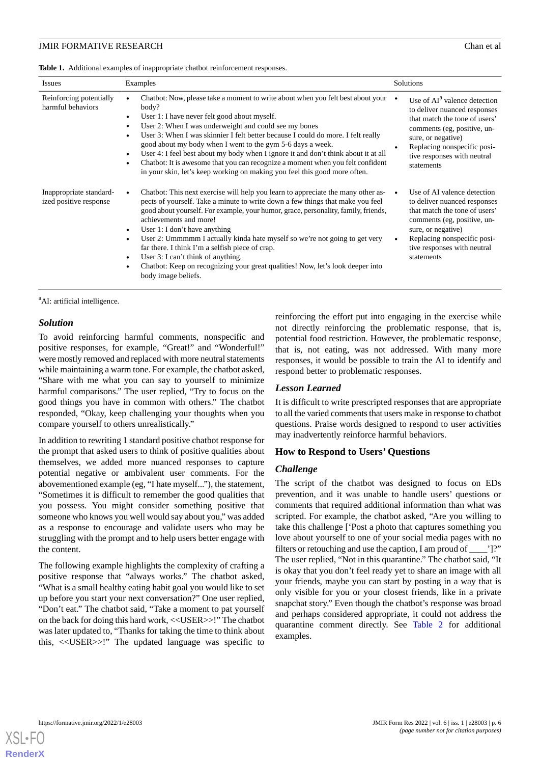<span id="page-5-0"></span>

|  |  |  |  | Table 1. Additional examples of inappropriate chatbot reinforcement responses. |  |
|--|--|--|--|--------------------------------------------------------------------------------|--|
|--|--|--|--|--------------------------------------------------------------------------------|--|

| <i>Issues</i>                                     | Examples                                                                                                                                                                                                                                                                                                                                                                                                                                                                                                                                                                                                            | Solutions                                                                                                                                                                                                                                      |
|---------------------------------------------------|---------------------------------------------------------------------------------------------------------------------------------------------------------------------------------------------------------------------------------------------------------------------------------------------------------------------------------------------------------------------------------------------------------------------------------------------------------------------------------------------------------------------------------------------------------------------------------------------------------------------|------------------------------------------------------------------------------------------------------------------------------------------------------------------------------------------------------------------------------------------------|
| Reinforcing potentially<br>harmful behaviors      | Chatbot: Now, please take a moment to write about when you felt best about your $\bullet$<br>body?<br>User 1: I have never felt good about myself.<br>User 2: When I was underweight and could see my bones<br>User 3: When I was skinnier I felt better because I could do more. I felt really<br>good about my body when I went to the gym 5-6 days a week.<br>User 4: I feel best about my body when I ignore it and don't think about it at all<br>Chatbot: It is awe some that you can recognize a moment when you felt confident<br>in your skin, let's keep working on making you feel this good more often. | Use of $AI^a$ valence detection<br>to deliver nuanced responses<br>that match the tone of users'<br>comments (eg, positive, un-<br>sure, or negative)<br>Replacing nonspecific posi-<br>$\bullet$<br>tive responses with neutral<br>statements |
| Inappropriate standard-<br>ized positive response | Chatbot: This next exercise will help you learn to appreciate the many other as-<br>pects of yourself. Take a minute to write down a few things that make you feel<br>good about yourself. For example, your humor, grace, personality, family, friends,<br>achievements and more!<br>User 1: I don't have anything<br>User 2: Ummmmm I actually kinda hate myself so we're not going to get very<br>far there. I think I'm a selfish piece of crap.<br>User 3: I can't think of anything.<br>Chatbot: Keep on recognizing your great qualities! Now, let's look deeper into<br>body image beliefs.                 | Use of AI valence detection<br>to deliver nuanced responses<br>that match the tone of users'<br>comments (eg, positive, un-<br>sure, or negative)<br>Replacing nonspecific posi-<br>tive responses with neutral<br>statements                  |

<sup>a</sup>AI: artificial intelligence.

#### *Solution*

To avoid reinforcing harmful comments, nonspecific and positive responses, for example, "Great!" and "Wonderful!" were mostly removed and replaced with more neutral statements while maintaining a warm tone. For example, the chatbot asked, "Share with me what you can say to yourself to minimize harmful comparisons." The user replied, "Try to focus on the good things you have in common with others." The chatbot responded, "Okay, keep challenging your thoughts when you compare yourself to others unrealistically."

In addition to rewriting 1 standard positive chatbot response for the prompt that asked users to think of positive qualities about themselves, we added more nuanced responses to capture potential negative or ambivalent user comments. For the abovementioned example (eg, "I hate myself..."), the statement, "Sometimes it is difficult to remember the good qualities that you possess. You might consider something positive that someone who knows you well would say about you," was added as a response to encourage and validate users who may be struggling with the prompt and to help users better engage with the content.

The following example highlights the complexity of crafting a positive response that "always works." The chatbot asked, "What is a small healthy eating habit goal you would like to set up before you start your next conversation?" One user replied, "Don't eat." The chatbot said, "Take a moment to pat yourself on the back for doing this hard work, <<USER>>!" The chatbot was later updated to, "Thanks for taking the time to think about this, <<USER>>!" The updated language was specific to

reinforcing the effort put into engaging in the exercise while not directly reinforcing the problematic response, that is, potential food restriction. However, the problematic response, that is, not eating, was not addressed. With many more responses, it would be possible to train the AI to identify and respond better to problematic responses.

### *Lesson Learned*

It is difficult to write prescripted responses that are appropriate to all the varied comments that users make in response to chatbot questions. Praise words designed to respond to user activities may inadvertently reinforce harmful behaviors.

#### **How to Respond to Users' Questions**

#### *Challenge*

The script of the chatbot was designed to focus on EDs prevention, and it was unable to handle users' questions or comments that required additional information than what was scripted. For example, the chatbot asked, "Are you willing to take this challenge ['Post a photo that captures something you love about yourself to one of your social media pages with no filters or retouching and use the caption, I am proud of \_\_\_\_']?" The user replied, "Not in this quarantine." The chatbot said, "It is okay that you don't feel ready yet to share an image with all your friends, maybe you can start by posting in a way that is only visible for you or your closest friends, like in a private snapchat story." Even though the chatbot's response was broad and perhaps considered appropriate, it could not address the quarantine comment directly. See [Table 2](#page-6-0) for additional examples.

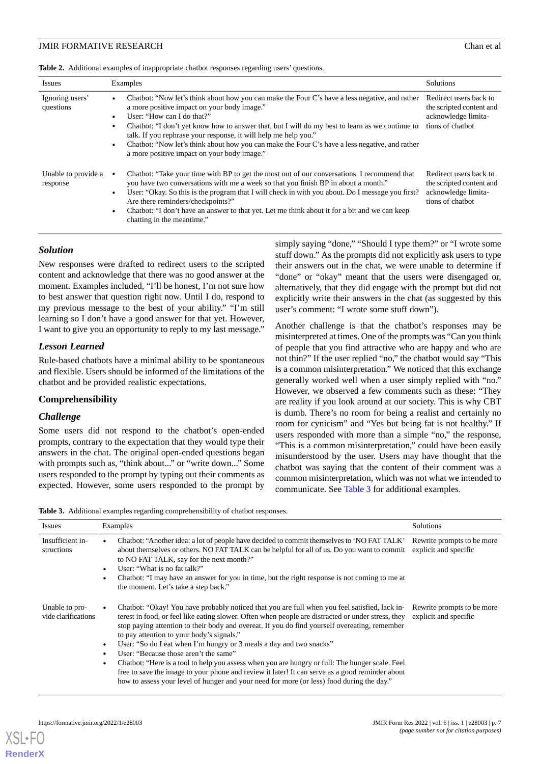<span id="page-6-0"></span>**Table 2.** Additional examples of inappropriate chatbot responses regarding users' questions.

| <b>Issues</b>                   | Examples                                                                                                                                                                                                                                                                                                                                                                                                                                                                                                        | Solutions                                                                                     |
|---------------------------------|-----------------------------------------------------------------------------------------------------------------------------------------------------------------------------------------------------------------------------------------------------------------------------------------------------------------------------------------------------------------------------------------------------------------------------------------------------------------------------------------------------------------|-----------------------------------------------------------------------------------------------|
| Ignoring users'<br>questions    | Chatbot: "Now let's think about how you can make the Four C's have a less negative, and rather<br>a more positive impact on your body image."<br>User: "How can I do that?"<br>Chatbot: "I don't yet know how to answer that, but I will do my best to learn as we continue to<br>talk. If you rephrase your response, it will help me help you."<br>Chatbot: "Now let's think about how you can make the Four C's have a less negative, and rather<br>$\bullet$<br>a more positive impact on your body image." | Redirect users back to<br>the scripted content and<br>acknowledge limita-<br>tions of chatbot |
| Unable to provide a<br>response | Chatbot: "Take your time with BP to get the most out of our conversations. I recommend that<br>you have two conversations with me a week so that you finish BP in about a month."<br>User: "Okay. So this is the program that I will check in with you about. Do I message you first?<br>٠<br>Are there reminders/checkpoints?"<br>Chatbot: "I don't have an answer to that yet. Let me think about it for a bit and we can keep<br>chatting in the meantime."                                                  | Redirect users back to<br>the scripted content and<br>acknowledge limita-<br>tions of chatbot |

#### *Solution*

New responses were drafted to redirect users to the scripted content and acknowledge that there was no good answer at the moment. Examples included, "I'll be honest, I'm not sure how to best answer that question right now. Until I do, respond to my previous message to the best of your ability." "I'm still learning so I don't have a good answer for that yet. However, I want to give you an opportunity to reply to my last message."

#### *Lesson Learned*

Rule-based chatbots have a minimal ability to be spontaneous and flexible. Users should be informed of the limitations of the chatbot and be provided realistic expectations.

#### **Comprehensibility**

#### *Challenge*

<span id="page-6-1"></span>Some users did not respond to the chatbot's open-ended prompts, contrary to the expectation that they would type their answers in the chat. The original open-ended questions began with prompts such as, "think about..." or "write down..." Some users responded to the prompt by typing out their comments as expected. However, some users responded to the prompt by

simply saying "done," "Should I type them?" or "I wrote some stuff down." As the prompts did not explicitly ask users to type their answers out in the chat, we were unable to determine if "done" or "okay" meant that the users were disengaged or, alternatively, that they did engage with the prompt but did not explicitly write their answers in the chat (as suggested by this user's comment: "I wrote some stuff down").

Another challenge is that the chatbot's responses may be misinterpreted at times. One of the prompts was "Can you think of people that you find attractive who are happy and who are not thin?" If the user replied "no," the chatbot would say "This is a common misinterpretation." We noticed that this exchange generally worked well when a user simply replied with "no." However, we observed a few comments such as these: "They are reality if you look around at our society. This is why CBT is dumb. There's no room for being a realist and certainly no room for cynicism" and "Yes but being fat is not healthy." If users responded with more than a simple "no," the response, "This is a common misinterpretation," could have been easily misunderstood by the user. Users may have thought that the chatbot was saying that the content of their comment was a common misinterpretation, which was not what we intended to communicate. See [Table 3](#page-6-1) for additional examples.

**Table 3.** Additional examples regarding comprehensibility of chatbot responses.

| <i>Issues</i>                         | Examples                                                                                                                                                                                                                                                                                                                                                                                                                                                                                                                                                                                                                                                                                                                                                                                                                 | Solutions                                           |
|---------------------------------------|--------------------------------------------------------------------------------------------------------------------------------------------------------------------------------------------------------------------------------------------------------------------------------------------------------------------------------------------------------------------------------------------------------------------------------------------------------------------------------------------------------------------------------------------------------------------------------------------------------------------------------------------------------------------------------------------------------------------------------------------------------------------------------------------------------------------------|-----------------------------------------------------|
| Insufficient in-<br>structions        | Chatbot: "Another idea: a lot of people have decided to commit themselves to 'NO FAT TALK'<br>about themselves or others. NO FAT TALK can be helpful for all of us. Do you want to commit<br>to NO FAT TALK, say for the next month?"<br>User: "What is no fat talk?"<br>$\bullet$<br>Chatbot: "I may have an answer for you in time, but the right response is not coming to me at<br>$\bullet$<br>the moment. Let's take a step back."                                                                                                                                                                                                                                                                                                                                                                                 | Rewrite prompts to be more<br>explicit and specific |
| Unable to pro-<br>vide clarifications | Chatbot: "Okay! You have probably noticed that you are full when you feel satisfied, lack in-<br>$\bullet$<br>terest in food, or feel like eating slower. Often when people are distracted or under stress, they<br>stop paying attention to their body and overeat. If you do find yourself overeating, remember<br>to pay attention to your body's signals."<br>User: "So do I eat when I'm hungry or 3 meals a day and two snacks"<br>$\bullet$<br>User: "Because those aren't the same"<br>$\bullet$<br>Chatbot: "Here is a tool to help you assess when you are hungry or full: The hunger scale. Feel<br>$\bullet$<br>free to save the image to your phone and review it later! It can serve as a good reminder about<br>how to assess your level of hunger and your need for more (or less) food during the day." | Rewrite prompts to be more<br>explicit and specific |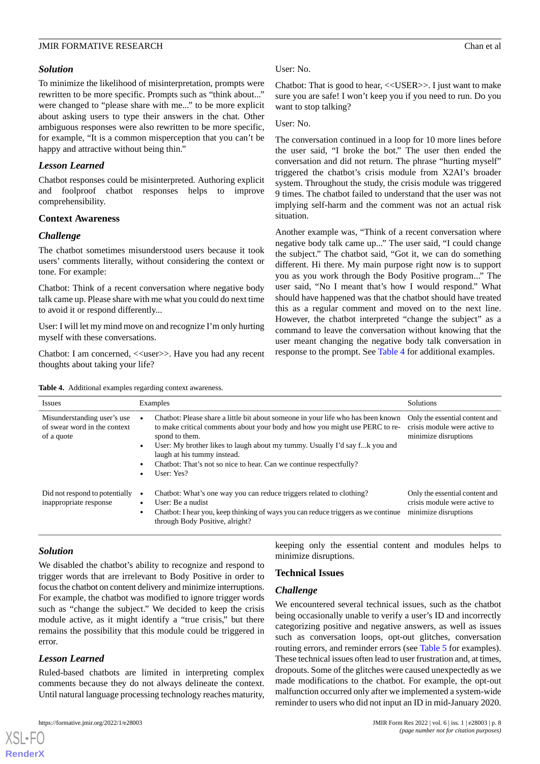#### *Solution*

To minimize the likelihood of misinterpretation, prompts were rewritten to be more specific. Prompts such as "think about..." were changed to "please share with me..." to be more explicit about asking users to type their answers in the chat. Other ambiguous responses were also rewritten to be more specific, for example, "It is a common misperception that you can't be happy and attractive without being thin."

# *Lesson Learned*

Chatbot responses could be misinterpreted. Authoring explicit and foolproof chatbot responses helps to improve comprehensibility.

#### **Context Awareness**

### *Challenge*

The chatbot sometimes misunderstood users because it took users' comments literally, without considering the context or tone. For example:

Chatbot: Think of a recent conversation where negative body talk came up. Please share with me what you could do next time to avoid it or respond differently...

User: I will let my mind move on and recognize I'm only hurting myself with these conversations.

<span id="page-7-0"></span>Chatbot: I am concerned, <<user>>. Have you had any recent thoughts about taking your life?

#### User: No.

Chatbot: That is good to hear, <<USER>>. I just want to make sure you are safe! I won't keep you if you need to run. Do you want to stop talking?

#### User: No.

The conversation continued in a loop for 10 more lines before the user said, "I broke the bot." The user then ended the conversation and did not return. The phrase "hurting myself" triggered the chatbot's crisis module from X2AI's broader system. Throughout the study, the crisis module was triggered 9 times. The chatbot failed to understand that the user was not implying self-harm and the comment was not an actual risk situation.

Another example was, "Think of a recent conversation where negative body talk came up..." The user said, "I could change the subject." The chatbot said, "Got it, we can do something different. Hi there. My main purpose right now is to support you as you work through the Body Positive program..." The user said, "No I meant that's how I would respond." What should have happened was that the chatbot should have treated this as a regular comment and moved on to the next line. However, the chatbot interpreted "change the subject" as a command to leave the conversation without knowing that the user meant changing the negative body talk conversation in response to the prompt. See [Table 4](#page-7-0) for additional examples.

**Table 4.** Additional examples regarding context awareness.

| <i>Issues</i>                                                             | Examples                                                                                                                                                                                                                                                                                                                                                                                        | Solutions                                                                              |
|---------------------------------------------------------------------------|-------------------------------------------------------------------------------------------------------------------------------------------------------------------------------------------------------------------------------------------------------------------------------------------------------------------------------------------------------------------------------------------------|----------------------------------------------------------------------------------------|
| Misunderstanding user's use<br>of swear word in the context<br>of a quote | Chatbot: Please share a little bit about someone in your life who has been known<br>to make critical comments about your body and how you might use PERC to re-<br>spond to them.<br>User: My brother likes to laugh about my tummy. Usually I'd say fk you and<br>$\bullet$<br>laugh at his tummy instead.<br>Chatbot: That's not so nice to hear. Can we continue respectfully?<br>User: Yes? | Only the essential content and<br>crisis module were active to<br>minimize disruptions |
| Did not respond to potentially<br>inappropriate response                  | Chatbot: What's one way you can reduce triggers related to clothing?<br>User: Be a nudist<br>$\bullet$<br>Chatbot: I hear you, keep thinking of ways you can reduce triggers as we continue<br>$\bullet$<br>through Body Positive, alright?                                                                                                                                                     | Only the essential content and<br>crisis module were active to<br>minimize disruptions |

### *Solution*

We disabled the chatbot's ability to recognize and respond to trigger words that are irrelevant to Body Positive in order to focus the chatbot on content delivery and minimize interruptions. For example, the chatbot was modified to ignore trigger words such as "change the subject." We decided to keep the crisis module active, as it might identify a "true crisis," but there remains the possibility that this module could be triggered in error.

# *Lesson Learned*

[XSL](http://www.w3.org/Style/XSL)•FO **[RenderX](http://www.renderx.com/)**

Ruled-based chatbots are limited in interpreting complex comments because they do not always delineate the context. Until natural language processing technology reaches maturity,

keeping only the essential content and modules helps to minimize disruptions.

### **Technical Issues**

#### *Challenge*

We encountered several technical issues, such as the chatbot being occasionally unable to verify a user's ID and incorrectly categorizing positive and negative answers, as well as issues such as conversation loops, opt-out glitches, conversation routing errors, and reminder errors (see [Table 5](#page-8-0) for examples). These technical issues often lead to user frustration and, at times, dropouts. Some of the glitches were caused unexpectedly as we made modifications to the chatbot. For example, the opt-out malfunction occurred only after we implemented a system-wide reminder to users who did not input an ID in mid-January 2020.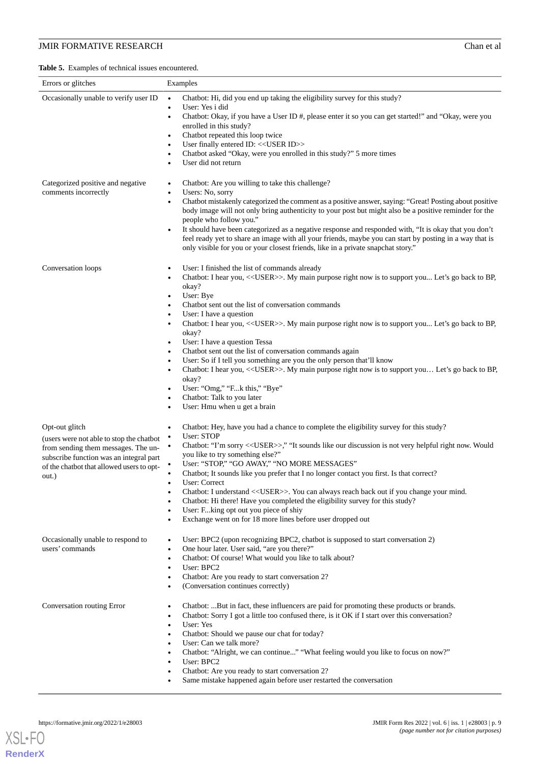### **JMIR FORMATIVE RESEARCH** Chan et al.

<span id="page-8-0"></span>

| Errors or glitches                                                                                                                                                                                 | Examples                                                                                                                                                                                                                                                                                                                                                                                                                                                                                                                                                                                                                                                                                                                                                                                                                                                                                                                                                                                                                                                                                                                                                                                                                   |
|----------------------------------------------------------------------------------------------------------------------------------------------------------------------------------------------------|----------------------------------------------------------------------------------------------------------------------------------------------------------------------------------------------------------------------------------------------------------------------------------------------------------------------------------------------------------------------------------------------------------------------------------------------------------------------------------------------------------------------------------------------------------------------------------------------------------------------------------------------------------------------------------------------------------------------------------------------------------------------------------------------------------------------------------------------------------------------------------------------------------------------------------------------------------------------------------------------------------------------------------------------------------------------------------------------------------------------------------------------------------------------------------------------------------------------------|
| Occasionally unable to verify user ID<br>Categorized positive and negative<br>comments incorrectly                                                                                                 | Chatbot: Hi, did you end up taking the eligibility survey for this study?<br>$\bullet$<br>User: Yes i did<br>$\bullet$<br>Chatbot: Okay, if you have a User ID #, please enter it so you can get started!" and "Okay, were you<br>$\bullet$<br>enrolled in this study?<br>Chatbot repeated this loop twice<br>$\bullet$<br>User finally entered ID: << USER ID>><br>$\bullet$<br>Chatbot asked "Okay, were you enrolled in this study?" 5 more times<br>$\bullet$<br>User did not return<br>Chatbot: Are you willing to take this challenge?<br>$\bullet$<br>Users: No, sorry<br>$\bullet$                                                                                                                                                                                                                                                                                                                                                                                                                                                                                                                                                                                                                                 |
|                                                                                                                                                                                                    | Chatbot mistakenly categorized the comment as a positive answer, saying: "Great! Posting about positive<br>$\bullet$<br>body image will not only bring authenticity to your post but might also be a positive reminder for the<br>people who follow you."<br>It should have been categorized as a negative response and responded with, "It is okay that you don't<br>feel ready yet to share an image with all your friends, maybe you can start by posting in a way that is<br>only visible for you or your closest friends, like in a private snapchat story."                                                                                                                                                                                                                                                                                                                                                                                                                                                                                                                                                                                                                                                          |
| Conversation loops                                                                                                                                                                                 | User: I finished the list of commands already<br>$\bullet$<br>Chatbot: I hear you, < <user>&gt;. My main purpose right now is to support you Let's go back to BP,<br/><math display="inline">\bullet</math><br/>okay?<br/>User: Bye<br/><math display="inline">\bullet</math><br/>Chatbot sent out the list of conversation commands<br/><math display="inline">\bullet</math><br/>User: I have a question<br/><math display="inline">\bullet</math><br/>Chatbot: I hear you, &lt;&lt; USER&gt;&gt;. My main purpose right now is to support you Let's go back to BP,<br/><math display="inline">\bullet</math><br/>okay?<br/>User: I have a question Tessa<br/><math display="inline">\bullet</math><br/>Chatbot sent out the list of conversation commands again<br/><math display="inline">\bullet</math><br/>User: So if I tell you something are you the only person that'll know<br/><math display="inline">\bullet</math><br/>Chatbot: I hear you, &lt;&lt; USER&gt;&gt;. My main purpose right now is to support you Let's go back to BP,<br/>okay?<br/>User: "Omg," "Fk this," "Bye"<br/>٠<br/>Chatbot: Talk to you later<br/>٠<br/>User: Hmu when u get a brain<br/><math display="inline">\bullet</math></user> |
| Opt-out glitch<br>(users were not able to stop the chatbot<br>from sending them messages. The un-<br>subscribe function was an integral part<br>of the chatbot that allowed users to opt-<br>out.) | Chatbot: Hey, have you had a chance to complete the eligibility survey for this study?<br><b>User: STOP</b><br>٠<br>Chatbot: "I'm sorry < <user>&gt;," "It sounds like our discussion is not very helpful right now. Would<br/><math display="inline">\bullet</math><br/>you like to try something else?"<br/>User: "STOP," "GO AWAY," "NO MORE MESSAGES"<br/>Chatbot; It sounds like you prefer that I no longer contact you first. Is that correct?<br/>٠<br/><b>User: Correct</b><br/>Chatbot: I understand &lt;&lt; USER&gt;&gt;. You can always reach back out if you change your mind.<br/><math display="inline">\bullet</math><br/>Chatbot: Hi there! Have you completed the eligibility survey for this study?<br/><math display="inline">\bullet</math><br/>User: Fking opt out you piece of shiy<br/><math display="inline">\bullet</math><br/>Exchange went on for 18 more lines before user dropped out<br/><math display="inline">\bullet</math></user>                                                                                                                                                                                                                                                      |
| Occasionally unable to respond to<br>users' commands                                                                                                                                               | User: BPC2 (upon recognizing BPC2, chatbot is supposed to start conversation 2)<br>$\bullet$<br>One hour later. User said, "are you there?"<br>$\bullet$<br>Chatbot: Of course! What would you like to talk about?<br>$\bullet$<br>User: BPC2<br>$\bullet$<br>Chatbot: Are you ready to start conversation 2?<br>$\bullet$<br>(Conversation continues correctly)<br>$\bullet$                                                                                                                                                                                                                                                                                                                                                                                                                                                                                                                                                                                                                                                                                                                                                                                                                                              |
| Conversation routing Error                                                                                                                                                                         | Chatbot: But in fact, these influencers are paid for promoting these products or brands.<br>٠<br>Chatbot: Sorry I got a little too confused there, is it OK if I start over this conversation?<br>$\bullet$<br>User: Yes<br>$\bullet$<br>Chatbot: Should we pause our chat for today?<br>$\bullet$<br>User: Can we talk more?<br>Chatbot: "Alright, we can continue" "What feeling would you like to focus on now?"<br>$\bullet$<br>User: BPC2<br>$\bullet$<br>Chatbot: Are you ready to start conversation 2?<br>٠<br>Same mistake happened again before user restarted the conversation                                                                                                                                                                                                                                                                                                                                                                                                                                                                                                                                                                                                                                  |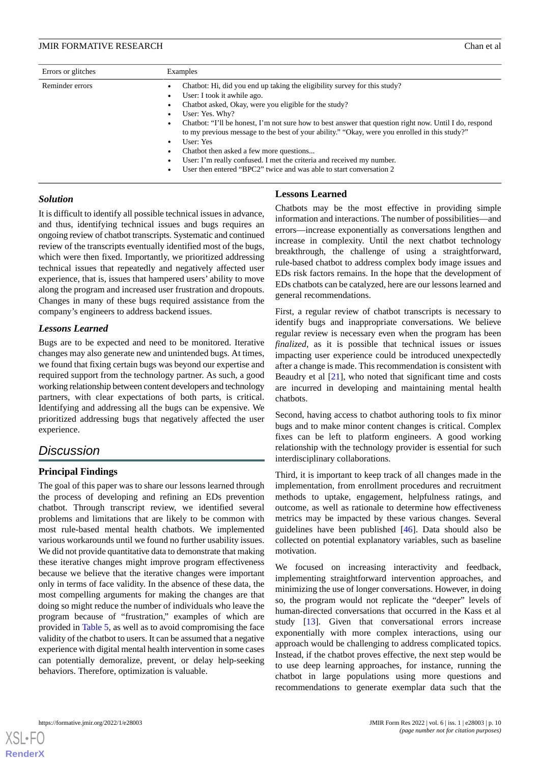| Errors or glitches | Examples                                                                                                                                                                                                                                                                                                                                                                                                                                                                                                                                                                                                |
|--------------------|---------------------------------------------------------------------------------------------------------------------------------------------------------------------------------------------------------------------------------------------------------------------------------------------------------------------------------------------------------------------------------------------------------------------------------------------------------------------------------------------------------------------------------------------------------------------------------------------------------|
| Reminder errors    | Chatbot: Hi, did you end up taking the eligibility survey for this study?<br>User: I took it awhile ago.<br>Chatbot asked, Okay, were you eligible for the study?<br>User: Yes. Why?<br>Chatbot: "I'll be honest, I'm not sure how to best answer that question right now. Until I do, respond<br>to my previous message to the best of your ability." "Okay, were you enrolled in this study?"<br>User: Yes<br>Chatbot then asked a few more questions<br>User: I'm really confused. I met the criteria and received my number.<br>User then entered "BPC2" twice and was able to start conversation 2 |

#### *Solution*

It is difficult to identify all possible technical issues in advance, and thus, identifying technical issues and bugs requires an ongoing review of chatbot transcripts. Systematic and continued review of the transcripts eventually identified most of the bugs, which were then fixed. Importantly, we prioritized addressing technical issues that repeatedly and negatively affected user experience, that is, issues that hampered users' ability to move along the program and increased user frustration and dropouts. Changes in many of these bugs required assistance from the company's engineers to address backend issues.

#### *Lessons Learned*

Bugs are to be expected and need to be monitored. Iterative changes may also generate new and unintended bugs. At times, we found that fixing certain bugs was beyond our expertise and required support from the technology partner. As such, a good working relationship between content developers and technology partners, with clear expectations of both parts, is critical. Identifying and addressing all the bugs can be expensive. We prioritized addressing bugs that negatively affected the user experience.

# *Discussion*

# **Principal Findings**

The goal of this paper was to share our lessons learned through the process of developing and refining an EDs prevention chatbot. Through transcript review, we identified several problems and limitations that are likely to be common with most rule-based mental health chatbots. We implemented various workarounds until we found no further usability issues. We did not provide quantitative data to demonstrate that making these iterative changes might improve program effectiveness because we believe that the iterative changes were important only in terms of face validity. In the absence of these data, the most compelling arguments for making the changes are that doing so might reduce the number of individuals who leave the program because of "frustration," examples of which are provided in [Table 5,](#page-8-0) as well as to avoid compromising the face validity of the chatbot to users. It can be assumed that a negative experience with digital mental health intervention in some cases can potentially demoralize, prevent, or delay help-seeking behaviors. Therefore, optimization is valuable.

# **Lessons Learned**

Chatbots may be the most effective in providing simple information and interactions. The number of possibilities—and errors—increase exponentially as conversations lengthen and increase in complexity. Until the next chatbot technology breakthrough, the challenge of using a straightforward, rule-based chatbot to address complex body image issues and EDs risk factors remains. In the hope that the development of EDs chatbots can be catalyzed, here are our lessons learned and general recommendations.

First, a regular review of chatbot transcripts is necessary to identify bugs and inappropriate conversations. We believe regular review is necessary even when the program has been *finalized*, as it is possible that technical issues or issues impacting user experience could be introduced unexpectedly after a change is made. This recommendation is consistent with Beaudry et al [\[21](#page-11-9)], who noted that significant time and costs are incurred in developing and maintaining mental health chatbots.

Second, having access to chatbot authoring tools to fix minor bugs and to make minor content changes is critical. Complex fixes can be left to platform engineers. A good working relationship with the technology provider is essential for such interdisciplinary collaborations.

Third, it is important to keep track of all changes made in the implementation, from enrollment procedures and recruitment methods to uptake, engagement, helpfulness ratings, and outcome, as well as rationale to determine how effectiveness metrics may be impacted by these various changes. Several guidelines have been published [\[46](#page-12-10)]. Data should also be collected on potential explanatory variables, such as baseline motivation.

We focused on increasing interactivity and feedback, implementing straightforward intervention approaches, and minimizing the use of longer conversations. However, in doing so, the program would not replicate the "deeper" levels of human-directed conversations that occurred in the Kass et al study [[13\]](#page-11-1). Given that conversational errors increase exponentially with more complex interactions, using our approach would be challenging to address complicated topics. Instead, if the chatbot proves effective, the next step would be to use deep learning approaches, for instance, running the chatbot in large populations using more questions and recommendations to generate exemplar data such that the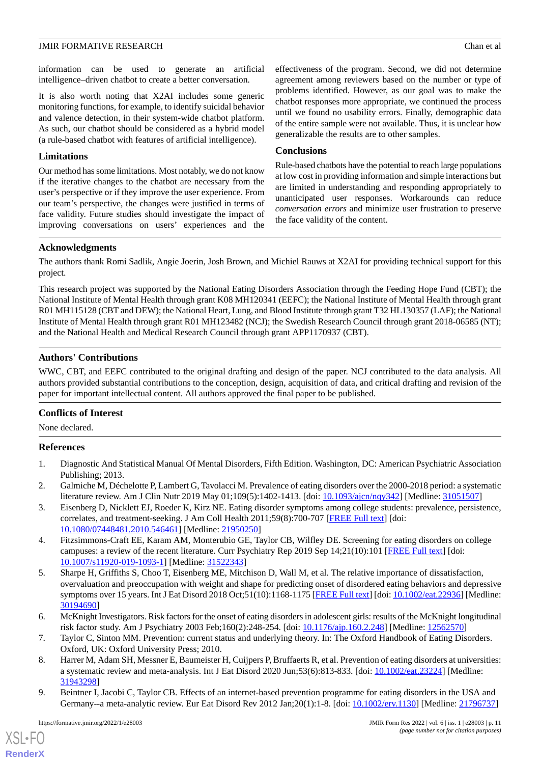information can be used to generate an artificial intelligence–driven chatbot to create a better conversation.

It is also worth noting that X2AI includes some generic monitoring functions, for example, to identify suicidal behavior and valence detection, in their system-wide chatbot platform. As such, our chatbot should be considered as a hybrid model (a rule-based chatbot with features of artificial intelligence).

#### **Limitations**

Our method has some limitations. Most notably, we do not know if the iterative changes to the chatbot are necessary from the user's perspective or if they improve the user experience. From our team's perspective, the changes were justified in terms of face validity. Future studies should investigate the impact of improving conversations on users' experiences and the

effectiveness of the program. Second, we did not determine agreement among reviewers based on the number or type of problems identified. However, as our goal was to make the chatbot responses more appropriate, we continued the process until we found no usability errors. Finally, demographic data of the entire sample were not available. Thus, it is unclear how generalizable the results are to other samples.

#### **Conclusions**

Rule-based chatbots have the potential to reach large populations at low cost in providing information and simple interactions but are limited in understanding and responding appropriately to unanticipated user responses. Workarounds can reduce *conversation errors* and minimize user frustration to preserve the face validity of the content.

#### **Acknowledgments**

The authors thank Romi Sadlik, Angie Joerin, Josh Brown, and Michiel Rauws at X2AI for providing technical support for this project.

This research project was supported by the National Eating Disorders Association through the Feeding Hope Fund (CBT); the National Institute of Mental Health through grant K08 MH120341 (EEFC); the National Institute of Mental Health through grant R01 MH115128 (CBT and DEW); the National Heart, Lung, and Blood Institute through grant T32 HL130357 (LAF); the National Institute of Mental Health through grant R01 MH123482 (NCJ); the Swedish Research Council through grant 2018-06585 (NT); and the National Health and Medical Research Council through grant APP1170937 (CBT).

#### **Authors' Contributions**

WWC, CBT, and EEFC contributed to the original drafting and design of the paper. NCJ contributed to the data analysis. All authors provided substantial contributions to the conception, design, acquisition of data, and critical drafting and revision of the paper for important intellectual content. All authors approved the final paper to be published.

#### <span id="page-10-0"></span>**Conflicts of Interest**

<span id="page-10-1"></span>None declared.

#### **References**

- <span id="page-10-2"></span>1. Diagnostic And Statistical Manual Of Mental Disorders, Fifth Edition. Washington, DC: American Psychiatric Association Publishing; 2013.
- <span id="page-10-3"></span>2. Galmiche M, Déchelotte P, Lambert G, Tavolacci M. Prevalence of eating disorders over the 2000-2018 period: a systematic literature review. Am J Clin Nutr 2019 May 01;109(5):1402-1413. [doi: [10.1093/ajcn/nqy342\]](http://dx.doi.org/10.1093/ajcn/nqy342) [Medline: [31051507](http://www.ncbi.nlm.nih.gov/entrez/query.fcgi?cmd=Retrieve&db=PubMed&list_uids=31051507&dopt=Abstract)]
- <span id="page-10-4"></span>3. Eisenberg D, Nicklett EJ, Roeder K, Kirz NE. Eating disorder symptoms among college students: prevalence, persistence, correlates, and treatment-seeking. J Am Coll Health 2011;59(8):700-707 [\[FREE Full text\]](http://europepmc.org/abstract/MED/21950250) [doi: [10.1080/07448481.2010.546461\]](http://dx.doi.org/10.1080/07448481.2010.546461) [Medline: [21950250\]](http://www.ncbi.nlm.nih.gov/entrez/query.fcgi?cmd=Retrieve&db=PubMed&list_uids=21950250&dopt=Abstract)
- 4. Fitzsimmons-Craft EE, Karam AM, Monterubio GE, Taylor CB, Wilfley DE. Screening for eating disorders on college campuses: a review of the recent literature. Curr Psychiatry Rep 2019 Sep 14;21(10):101 [[FREE Full text](http://europepmc.org/abstract/MED/31522343)] [doi: [10.1007/s11920-019-1093-1\]](http://dx.doi.org/10.1007/s11920-019-1093-1) [Medline: [31522343](http://www.ncbi.nlm.nih.gov/entrez/query.fcgi?cmd=Retrieve&db=PubMed&list_uids=31522343&dopt=Abstract)]
- <span id="page-10-7"></span><span id="page-10-5"></span>5. Sharpe H, Griffiths S, Choo T, Eisenberg ME, Mitchison D, Wall M, et al. The relative importance of dissatisfaction, overvaluation and preoccupation with weight and shape for predicting onset of disordered eating behaviors and depressive symptoms over 15 years. Int J Eat Disord 2018 Oct;51(10):1168-1175 [[FREE Full text](http://europepmc.org/abstract/MED/30194690)] [doi: [10.1002/eat.22936\]](http://dx.doi.org/10.1002/eat.22936) [Medline: [30194690](http://www.ncbi.nlm.nih.gov/entrez/query.fcgi?cmd=Retrieve&db=PubMed&list_uids=30194690&dopt=Abstract)]
- <span id="page-10-6"></span>6. McKnight Investigators. Risk factors for the onset of eating disorders in adolescent girls: results of the McKnight longitudinal risk factor study. Am J Psychiatry 2003 Feb;160(2):248-254. [doi: [10.1176/ajp.160.2.248\]](http://dx.doi.org/10.1176/ajp.160.2.248) [Medline: [12562570\]](http://www.ncbi.nlm.nih.gov/entrez/query.fcgi?cmd=Retrieve&db=PubMed&list_uids=12562570&dopt=Abstract)
- 7. Taylor C, Sinton MM. Prevention: current status and underlying theory. In: The Oxford Handbook of Eating Disorders. Oxford, UK: Oxford University Press; 2010.
- 8. Harrer M, Adam SH, Messner E, Baumeister H, Cuijpers P, Bruffaerts R, et al. Prevention of eating disorders at universities: a systematic review and meta-analysis. Int J Eat Disord 2020 Jun;53(6):813-833. [doi: [10.1002/eat.23224\]](http://dx.doi.org/10.1002/eat.23224) [Medline: [31943298](http://www.ncbi.nlm.nih.gov/entrez/query.fcgi?cmd=Retrieve&db=PubMed&list_uids=31943298&dopt=Abstract)]
- 9. Beintner I, Jacobi C, Taylor CB. Effects of an internet-based prevention programme for eating disorders in the USA and Germany--a meta-analytic review. Eur Eat Disord Rev 2012 Jan;20(1):1-8. [doi: [10.1002/erv.1130\]](http://dx.doi.org/10.1002/erv.1130) [Medline: [21796737](http://www.ncbi.nlm.nih.gov/entrez/query.fcgi?cmd=Retrieve&db=PubMed&list_uids=21796737&dopt=Abstract)]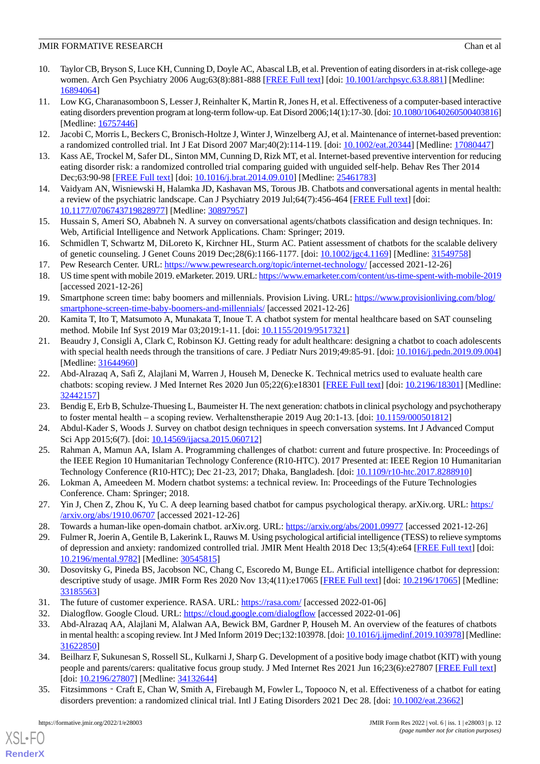- <span id="page-11-23"></span>10. Taylor CB, Bryson S, Luce KH, Cunning D, Doyle AC, Abascal LB, et al. Prevention of eating disorders in at-risk college-age women. Arch Gen Psychiatry 2006 Aug;63(8):881-888 [\[FREE Full text\]](http://europepmc.org/abstract/MED/16894064) [doi: [10.1001/archpsyc.63.8.881](http://dx.doi.org/10.1001/archpsyc.63.8.881)] [Medline: [16894064](http://www.ncbi.nlm.nih.gov/entrez/query.fcgi?cmd=Retrieve&db=PubMed&list_uids=16894064&dopt=Abstract)]
- 11. Low KG, Charanasomboon S, Lesser J, Reinhalter K, Martin R, Jones H, et al. Effectiveness of a computer-based interactive eating disorders prevention program at long-term follow-up. Eat Disord 2006;14(1):17-30. [doi: [10.1080/10640260500403816\]](http://dx.doi.org/10.1080/10640260500403816) [Medline: [16757446](http://www.ncbi.nlm.nih.gov/entrez/query.fcgi?cmd=Retrieve&db=PubMed&list_uids=16757446&dopt=Abstract)]
- <span id="page-11-1"></span><span id="page-11-0"></span>12. Jacobi C, Morris L, Beckers C, Bronisch-Holtze J, Winter J, Winzelberg AJ, et al. Maintenance of internet-based prevention: a randomized controlled trial. Int J Eat Disord 2007 Mar;40(2):114-119. [doi: [10.1002/eat.20344](http://dx.doi.org/10.1002/eat.20344)] [Medline: [17080447](http://www.ncbi.nlm.nih.gov/entrez/query.fcgi?cmd=Retrieve&db=PubMed&list_uids=17080447&dopt=Abstract)]
- <span id="page-11-2"></span>13. Kass AE, Trockel M, Safer DL, Sinton MM, Cunning D, Rizk MT, et al. Internet-based preventive intervention for reducing eating disorder risk: a randomized controlled trial comparing guided with unguided self-help. Behav Res Ther 2014 Dec;63:90-98 [\[FREE Full text\]](http://europepmc.org/abstract/MED/25461783) [doi: [10.1016/j.brat.2014.09.010\]](http://dx.doi.org/10.1016/j.brat.2014.09.010) [Medline: [25461783](http://www.ncbi.nlm.nih.gov/entrez/query.fcgi?cmd=Retrieve&db=PubMed&list_uids=25461783&dopt=Abstract)]
- <span id="page-11-3"></span>14. Vaidyam AN, Wisniewski H, Halamka JD, Kashavan MS, Torous JB. Chatbots and conversational agents in mental health: a review of the psychiatric landscape. Can J Psychiatry 2019 Jul;64(7):456-464 [\[FREE Full text\]](http://europepmc.org/abstract/MED/30897957) [doi: [10.1177/0706743719828977\]](http://dx.doi.org/10.1177/0706743719828977) [Medline: [30897957\]](http://www.ncbi.nlm.nih.gov/entrez/query.fcgi?cmd=Retrieve&db=PubMed&list_uids=30897957&dopt=Abstract)
- <span id="page-11-4"></span>15. Hussain S, Ameri SO, Ababneh N. A survey on conversational agents/chatbots classification and design techniques. In: Web, Artificial Intelligence and Network Applications. Cham: Springer; 2019.
- <span id="page-11-6"></span><span id="page-11-5"></span>16. Schmidlen T, Schwartz M, DiLoreto K, Kirchner HL, Sturm AC. Patient assessment of chatbots for the scalable delivery of genetic counseling. J Genet Couns 2019 Dec;28(6):1166-1177. [doi: [10.1002/jgc4.1169](http://dx.doi.org/10.1002/jgc4.1169)] [Medline: [31549758](http://www.ncbi.nlm.nih.gov/entrez/query.fcgi?cmd=Retrieve&db=PubMed&list_uids=31549758&dopt=Abstract)]
- <span id="page-11-7"></span>17. Pew Research Center. URL: <https://www.pewresearch.org/topic/internet-technology/> [accessed 2021-12-26]
- 18. US time spent with mobile 2019. eMarketer. 2019. URL:<https://www.emarketer.com/content/us-time-spent-with-mobile-2019> [accessed 2021-12-26]
- <span id="page-11-9"></span><span id="page-11-8"></span>19. Smartphone screen time: baby boomers and millennials. Provision Living. URL: [https://www.provisionliving.com/blog/](https://www.provisionliving.com/blog/smartphone-screen-time-baby-boomers-and-millennials/) [smartphone-screen-time-baby-boomers-and-millennials/](https://www.provisionliving.com/blog/smartphone-screen-time-baby-boomers-and-millennials/) [accessed 2021-12-26]
- 20. Kamita T, Ito T, Matsumoto A, Munakata T, Inoue T. A chatbot system for mental healthcare based on SAT counseling method. Mobile Inf Syst 2019 Mar 03;2019:1-11. [doi: [10.1155/2019/9517321\]](http://dx.doi.org/10.1155/2019/9517321)
- <span id="page-11-10"></span>21. Beaudry J, Consigli A, Clark C, Robinson KJ. Getting ready for adult healthcare: designing a chatbot to coach adolescents with special health needs through the transitions of care. J Pediatr Nurs 2019;49:85-91. [doi: [10.1016/j.pedn.2019.09.004](http://dx.doi.org/10.1016/j.pedn.2019.09.004)] [Medline: [31644960](http://www.ncbi.nlm.nih.gov/entrez/query.fcgi?cmd=Retrieve&db=PubMed&list_uids=31644960&dopt=Abstract)]
- <span id="page-11-12"></span><span id="page-11-11"></span>22. Abd-Alrazaq A, Safi Z, Alajlani M, Warren J, Househ M, Denecke K. Technical metrics used to evaluate health care chatbots: scoping review. J Med Internet Res 2020 Jun 05;22(6):e18301 [[FREE Full text\]](https://www.jmir.org/2020/6/e18301/) [doi: [10.2196/18301](http://dx.doi.org/10.2196/18301)] [Medline: [32442157](http://www.ncbi.nlm.nih.gov/entrez/query.fcgi?cmd=Retrieve&db=PubMed&list_uids=32442157&dopt=Abstract)]
- 23. Bendig E, Erb B, Schulze-Thuesing L, Baumeister H. The next generation: chatbots in clinical psychology and psychotherapy to foster mental health – a scoping review. Verhaltenstherapie 2019 Aug 20:1-13. [doi: [10.1159/000501812\]](http://dx.doi.org/10.1159/000501812)
- <span id="page-11-13"></span>24. Abdul-Kader S, Woods J. Survey on chatbot design techniques in speech conversation systems. Int J Advanced Comput Sci App 2015;6(7). [doi: [10.14569/ijacsa.2015.060712](http://dx.doi.org/10.14569/ijacsa.2015.060712)]
- <span id="page-11-14"></span>25. Rahman A, Mamun AA, Islam A. Programming challenges of chatbot: current and future prospective. In: Proceedings of the IEEE Region 10 Humanitarian Technology Conference (R10-HTC). 2017 Presented at: IEEE Region 10 Humanitarian Technology Conference (R10-HTC); Dec 21-23, 2017; Dhaka, Bangladesh. [doi: [10.1109/r10-htc.2017.8288910](http://dx.doi.org/10.1109/r10-htc.2017.8288910)]
- <span id="page-11-16"></span><span id="page-11-15"></span>26. Lokman A, Ameedeen M. Modern chatbot systems: a technical review. In: Proceedings of the Future Technologies Conference. Cham: Springer; 2018.
- <span id="page-11-17"></span>27. Yin J, Chen Z, Zhou K, Yu C. A deep learning based chatbot for campus psychological therapy. arXiv.org. URL: [https:/](https://arxiv.org/abs/1910.06707) [/arxiv.org/abs/1910.06707](https://arxiv.org/abs/1910.06707) [accessed 2021-12-26]
- 28. Towards a human-like open-domain chatbot. arXiv.org. URL:<https://arxiv.org/abs/2001.09977> [accessed 2021-12-26]
- <span id="page-11-19"></span><span id="page-11-18"></span>29. Fulmer R, Joerin A, Gentile B, Lakerink L, Rauws M. Using psychological artificial intelligence (TESS) to relieve symptoms of depression and anxiety: randomized controlled trial. JMIR Ment Health 2018 Dec 13;5(4):e64 [[FREE Full text](https://mental.jmir.org/2018/4/e64/)] [doi: [10.2196/mental.9782\]](http://dx.doi.org/10.2196/mental.9782) [Medline: [30545815](http://www.ncbi.nlm.nih.gov/entrez/query.fcgi?cmd=Retrieve&db=PubMed&list_uids=30545815&dopt=Abstract)]
- <span id="page-11-20"></span>30. Dosovitsky G, Pineda BS, Jacobson NC, Chang C, Escoredo M, Bunge EL. Artificial intelligence chatbot for depression: descriptive study of usage. JMIR Form Res 2020 Nov 13;4(11):e17065 [[FREE Full text](https://formative.jmir.org/2020/11/e17065/)] [doi: [10.2196/17065](http://dx.doi.org/10.2196/17065)] [Medline: [33185563](http://www.ncbi.nlm.nih.gov/entrez/query.fcgi?cmd=Retrieve&db=PubMed&list_uids=33185563&dopt=Abstract)]
- <span id="page-11-21"></span>31. The future of customer experience. RASA. URL:<https://rasa.com/> [accessed 2022-01-06]
- 32. Dialogflow. Google Cloud. URL: <https://cloud.google.com/dialogflow> [accessed 2022-01-06]
- <span id="page-11-22"></span>33. Abd-Alrazaq AA, Alajlani M, Alalwan AA, Bewick BM, Gardner P, Househ M. An overview of the features of chatbots in mental health: a scoping review. Int J Med Inform 2019 Dec;132:103978. [doi: [10.1016/j.ijmedinf.2019.103978\]](http://dx.doi.org/10.1016/j.ijmedinf.2019.103978) [Medline: [31622850](http://www.ncbi.nlm.nih.gov/entrez/query.fcgi?cmd=Retrieve&db=PubMed&list_uids=31622850&dopt=Abstract)]
- 34. Beilharz F, Sukunesan S, Rossell SL, Kulkarni J, Sharp G. Development of a positive body image chatbot (KIT) with young people and parents/carers: qualitative focus group study. J Med Internet Res 2021 Jun 16;23(6):e27807 [[FREE Full text\]](https://www.jmir.org/2021/6/e27807/) [doi: [10.2196/27807](http://dx.doi.org/10.2196/27807)] [Medline: [34132644\]](http://www.ncbi.nlm.nih.gov/entrez/query.fcgi?cmd=Retrieve&db=PubMed&list_uids=34132644&dopt=Abstract)
- 35. Fitzsimmons‐Craft E, Chan W, Smith A, Firebaugh M, Fowler L, Topooco N, et al. Effectiveness of a chatbot for eating disorders prevention: a randomized clinical trial. Intl J Eating Disorders 2021 Dec 28. [doi: [10.1002/eat.23662\]](http://dx.doi.org/10.1002/eat.23662)